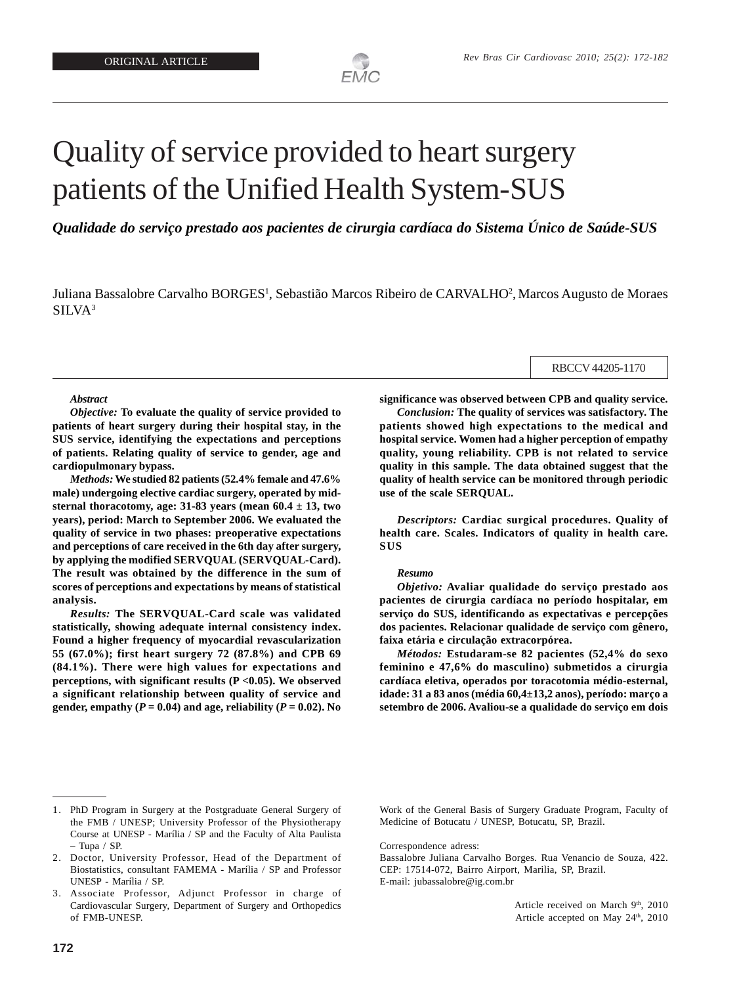

# Quality of service provided to heart surgery patients of the Unified Health System-SUS

*Qualidade do serviço prestado aos pacientes de cirurgia cardíaca do Sistema Único de Saúde-SUS*

Juliana Bassalobre Carvalho BORGES<sup>1</sup>, Sebastião Marcos Ribeiro de CARVALHO<sup>2</sup>, Marcos Augusto de Moraes  $SIINA<sup>3</sup>$ 

#### *Abstract*

*Objective:* **To evaluate the quality of service provided to patients of heart surgery during their hospital stay, in the SUS service, identifying the expectations and perceptions of patients. Relating quality of service to gender, age and cardiopulmonary bypass.**

*Methods:* **We studied 82 patients (52.4% female and 47.6% male) undergoing elective cardiac surgery, operated by midsternal thoracotomy, age: 31-83 years (mean 60.4 ± 13, two years), period: March to September 2006. We evaluated the quality of service in two phases: preoperative expectations and perceptions of care received in the 6th day after surgery, by applying the modified SERVQUAL (SERVQUAL-Card). The result was obtained by the difference in the sum of scores of perceptions and expectations by means of statistical analysis.**

*Results:* **The SERVQUAL-Card scale was validated statistically, showing adequate internal consistency index. Found a higher frequency of myocardial revascularization 55 (67.0%); first heart surgery 72 (87.8%) and CPB 69 (84.1%). There were high values for expectations and perceptions, with significant results (P <0.05). We observed a significant relationship between quality of service and gender, empathy** ( $P = 0.04$ ) and age, reliability ( $P = 0.02$ ). No **significance was observed between CPB and quality service.**

RBCCV 44205-1170

*Conclusion:* **The quality of services was satisfactory. The patients showed high expectations to the medical and hospital service. Women had a higher perception of empathy quality, young reliability. CPB is not related to service quality in this sample. The data obtained suggest that the quality of health service can be monitored through periodic use of the scale SERQUAL.**

*Descriptors:* **Cardiac surgical procedures. Quality of health care. Scales. Indicators of quality in health care. SUS**

#### *Resumo*

*Objetivo:* **Avaliar qualidade do serviço prestado aos pacientes de cirurgia cardíaca no período hospitalar, em serviço do SUS, identificando as expectativas e percepções dos pacientes. Relacionar qualidade de serviço com gênero, faixa etária e circulação extracorpórea.**

*Métodos:* **Estudaram-se 82 pacientes (52,4% do sexo feminino e 47,6% do masculino) submetidos a cirurgia cardíaca eletiva, operados por toracotomia médio-esternal, idade: 31 a 83 anos (média 60,4±13,2 anos), período: março a setembro de 2006. Avaliou-se a qualidade do serviço em dois**

2. Doctor, University Professor, Head of the Department of Biostatistics, consultant FAMEMA - Marília / SP and Professor UNESP - Marília / SP.

Work of the General Basis of Surgery Graduate Program, Faculty of Medicine of Botucatu / UNESP, Botucatu, SP, Brazil.

Correspondence adress:

Bassalobre Juliana Carvalho Borges. Rua Venancio de Souza, 422. CEP: 17514-072, Bairro Airport, Marilia, SP, Brazil. E-mail: jubassalobre@ig.com.br

> Article received on March 9th, 2010 Article accepted on May  $24<sup>th</sup>$ , 2010

<sup>1.</sup> PhD Program in Surgery at the Postgraduate General Surgery of the FMB / UNESP; University Professor of the Physiotherapy Course at UNESP - Marília / SP and the Faculty of Alta Paulista – Tupa / SP.

<sup>3.</sup> Associate Professor, Adjunct Professor in charge of Cardiovascular Surgery, Department of Surgery and Orthopedics of FMB-UNESP.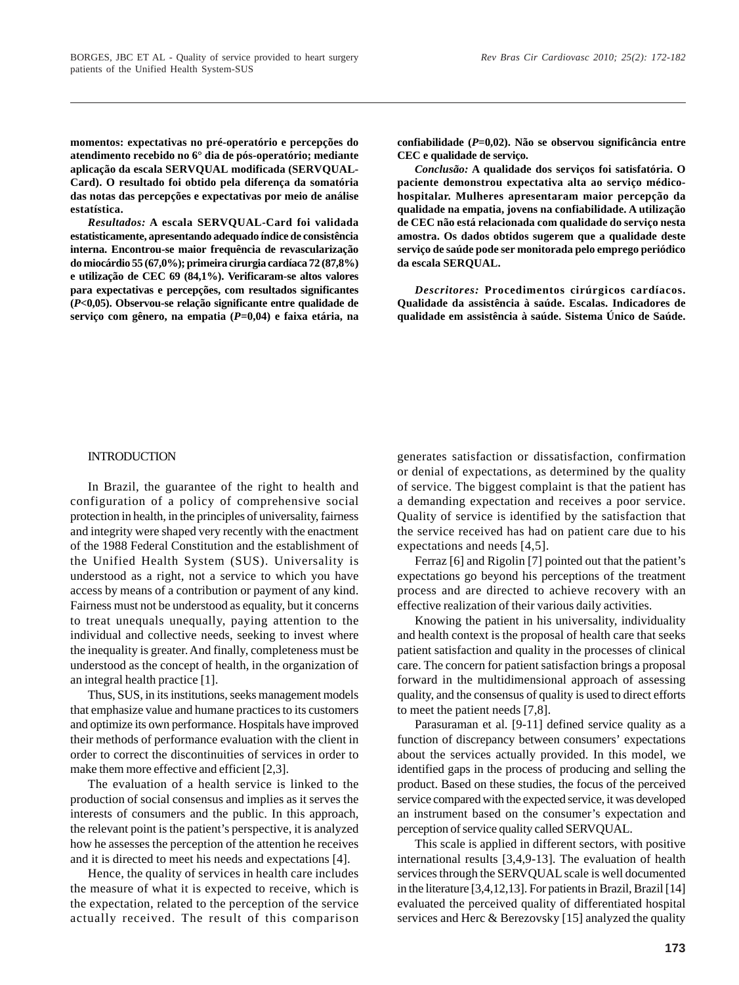**momentos: expectativas no pré-operatório e percepções do atendimento recebido no 6° dia de pós-operatório; mediante aplicação da escala SERVQUAL modificada (SERVQUAL-Card). O resultado foi obtido pela diferença da somatória das notas das percepções e expectativas por meio de análise estatística.**

*Resultados:* **A escala SERVQUAL-Card foi validada estatisticamente, apresentando adequado índice de consistência interna. Encontrou-se maior frequência de revascularização do miocárdio 55 (67,0%); primeira cirurgia cardíaca 72 (87,8%) e utilização de CEC 69 (84,1%). Verificaram-se altos valores para expectativas e percepções, com resultados significantes (***P***<0,05). Observou-se relação significante entre qualidade de serviço com gênero, na empatia (***P***=0,04) e faixa etária, na** **confiabilidade (***P***=0,02). Não se observou significância entre CEC e qualidade de serviço.**

*Conclusão:* **A qualidade dos serviços foi satisfatória. O paciente demonstrou expectativa alta ao serviço médicohospitalar. Mulheres apresentaram maior percepção da qualidade na empatia, jovens na confiabilidade. A utilização de CEC não está relacionada com qualidade do serviço nesta amostra. Os dados obtidos sugerem que a qualidade deste serviço de saúde pode ser monitorada pelo emprego periódico da escala SERQUAL.**

*Descritores:* **Procedimentos cirúrgicos cardíacos. Qualidade da assistência à saúde. Escalas. Indicadores de qualidade em assistência à saúde. Sistema Único de Saúde.**

## **INTRODUCTION**

In Brazil, the guarantee of the right to health and configuration of a policy of comprehensive social protection in health, in the principles of universality, fairness and integrity were shaped very recently with the enactment of the 1988 Federal Constitution and the establishment of the Unified Health System (SUS). Universality is understood as a right, not a service to which you have access by means of a contribution or payment of any kind. Fairness must not be understood as equality, but it concerns to treat unequals unequally, paying attention to the individual and collective needs, seeking to invest where the inequality is greater. And finally, completeness must be understood as the concept of health, in the organization of an integral health practice [1].

Thus, SUS, in its institutions, seeks management models that emphasize value and humane practices to its customers and optimize its own performance. Hospitals have improved their methods of performance evaluation with the client in order to correct the discontinuities of services in order to make them more effective and efficient [2,3].

The evaluation of a health service is linked to the production of social consensus and implies as it serves the interests of consumers and the public. In this approach, the relevant point is the patient's perspective, it is analyzed how he assesses the perception of the attention he receives and it is directed to meet his needs and expectations [4].

Hence, the quality of services in health care includes the measure of what it is expected to receive, which is the expectation, related to the perception of the service actually received. The result of this comparison generates satisfaction or dissatisfaction, confirmation or denial of expectations, as determined by the quality of service. The biggest complaint is that the patient has a demanding expectation and receives a poor service. Quality of service is identified by the satisfaction that the service received has had on patient care due to his expectations and needs [4,5].

Ferraz [6] and Rigolin [7] pointed out that the patient's expectations go beyond his perceptions of the treatment process and are directed to achieve recovery with an effective realization of their various daily activities.

Knowing the patient in his universality, individuality and health context is the proposal of health care that seeks patient satisfaction and quality in the processes of clinical care. The concern for patient satisfaction brings a proposal forward in the multidimensional approach of assessing quality, and the consensus of quality is used to direct efforts to meet the patient needs [7,8].

Parasuraman et al. [9-11] defined service quality as a function of discrepancy between consumers' expectations about the services actually provided. In this model, we identified gaps in the process of producing and selling the product. Based on these studies, the focus of the perceived service compared with the expected service, it was developed an instrument based on the consumer's expectation and perception of service quality called SERVQUAL.

This scale is applied in different sectors, with positive international results [3,4,9-13]. The evaluation of health services through the SERVQUAL scale is well documented in the literature [3,4,12,13]. For patients in Brazil, Brazil [14] evaluated the perceived quality of differentiated hospital services and Herc & Berezovsky [15] analyzed the quality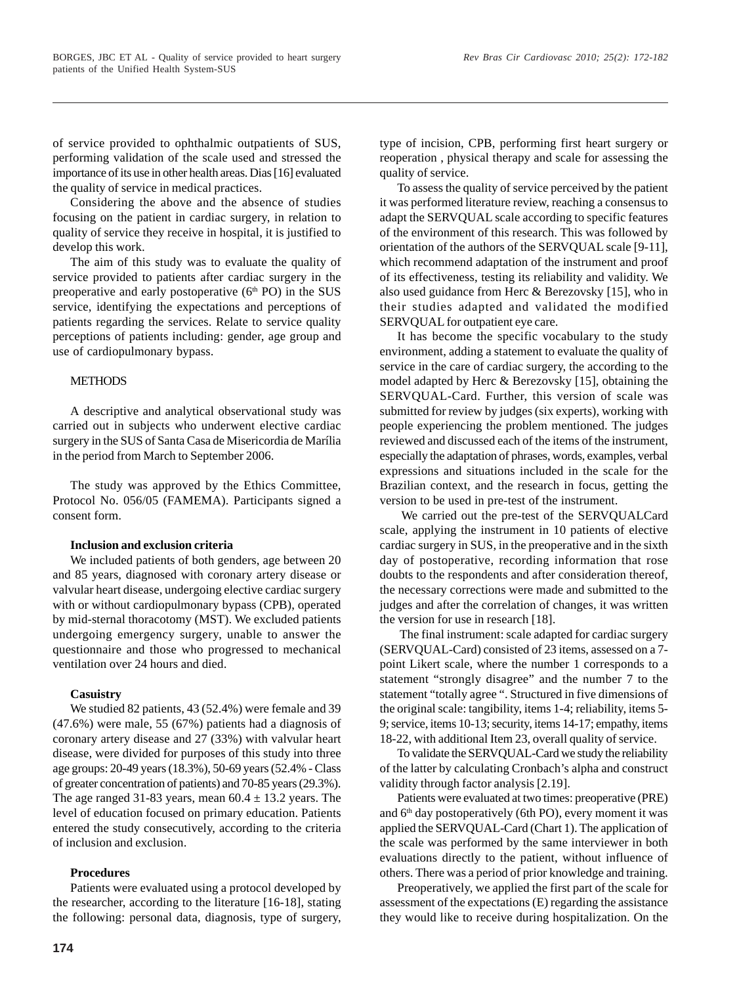of service provided to ophthalmic outpatients of SUS, performing validation of the scale used and stressed the importance of its use in other health areas. Dias [16] evaluated the quality of service in medical practices.

Considering the above and the absence of studies focusing on the patient in cardiac surgery, in relation to quality of service they receive in hospital, it is justified to develop this work.

The aim of this study was to evaluate the quality of service provided to patients after cardiac surgery in the preoperative and early postoperative  $(6<sup>th</sup> PO)$  in the SUS service, identifying the expectations and perceptions of patients regarding the services. Relate to service quality perceptions of patients including: gender, age group and use of cardiopulmonary bypass.

## **METHODS**

A descriptive and analytical observational study was carried out in subjects who underwent elective cardiac surgery in the SUS of Santa Casa de Misericordia de Marília in the period from March to September 2006.

The study was approved by the Ethics Committee, Protocol No. 056/05 (FAMEMA). Participants signed a consent form.

## **Inclusion and exclusion criteria**

We included patients of both genders, age between 20 and 85 years, diagnosed with coronary artery disease or valvular heart disease, undergoing elective cardiac surgery with or without cardiopulmonary bypass (CPB), operated by mid-sternal thoracotomy (MST). We excluded patients undergoing emergency surgery, unable to answer the questionnaire and those who progressed to mechanical ventilation over 24 hours and died.

#### **Casuistry**

We studied 82 patients, 43 (52.4%) were female and 39 (47.6%) were male, 55 (67%) patients had a diagnosis of coronary artery disease and 27 (33%) with valvular heart disease, were divided for purposes of this study into three age groups: 20-49 years (18.3%), 50-69 years (52.4% - Class of greater concentration of patients) and 70-85 years (29.3%). The age ranged 31-83 years, mean  $60.4 \pm 13.2$  years. The level of education focused on primary education. Patients entered the study consecutively, according to the criteria of inclusion and exclusion.

## **Procedures**

Patients were evaluated using a protocol developed by the researcher, according to the literature [16-18], stating the following: personal data, diagnosis, type of surgery, type of incision, CPB, performing first heart surgery or reoperation , physical therapy and scale for assessing the quality of service.

To assess the quality of service perceived by the patient it was performed literature review, reaching a consensus to adapt the SERVQUAL scale according to specific features of the environment of this research. This was followed by orientation of the authors of the SERVQUAL scale [9-11], which recommend adaptation of the instrument and proof of its effectiveness, testing its reliability and validity. We also used guidance from Herc & Berezovsky [15], who in their studies adapted and validated the modified SERVQUAL for outpatient eye care.

It has become the specific vocabulary to the study environment, adding a statement to evaluate the quality of service in the care of cardiac surgery, the according to the model adapted by Herc & Berezovsky [15], obtaining the SERVQUAL-Card. Further, this version of scale was submitted for review by judges (six experts), working with people experiencing the problem mentioned. The judges reviewed and discussed each of the items of the instrument, especially the adaptation of phrases, words, examples, verbal expressions and situations included in the scale for the Brazilian context, and the research in focus, getting the version to be used in pre-test of the instrument.

 We carried out the pre-test of the SERVQUALCard scale, applying the instrument in 10 patients of elective cardiac surgery in SUS, in the preoperative and in the sixth day of postoperative, recording information that rose doubts to the respondents and after consideration thereof, the necessary corrections were made and submitted to the judges and after the correlation of changes, it was written the version for use in research [18].

 The final instrument: scale adapted for cardiac surgery (SERVQUAL-Card) consisted of 23 items, assessed on a 7 point Likert scale, where the number 1 corresponds to a statement "strongly disagree" and the number 7 to the statement "totally agree ". Structured in five dimensions of the original scale: tangibility, items 1-4; reliability, items 5- 9; service, items 10-13; security, items 14-17; empathy, items 18-22, with additional Item 23, overall quality of service.

To validate the SERVQUAL-Card we study the reliability of the latter by calculating Cronbach's alpha and construct validity through factor analysis [2.19].

Patients were evaluated at two times: preoperative (PRE) and  $6<sup>th</sup>$  day postoperatively (6th PO), every moment it was applied the SERVQUAL-Card (Chart 1). The application of the scale was performed by the same interviewer in both evaluations directly to the patient, without influence of others. There was a period of prior knowledge and training.

Preoperatively, we applied the first part of the scale for assessment of the expectations (E) regarding the assistance they would like to receive during hospitalization. On the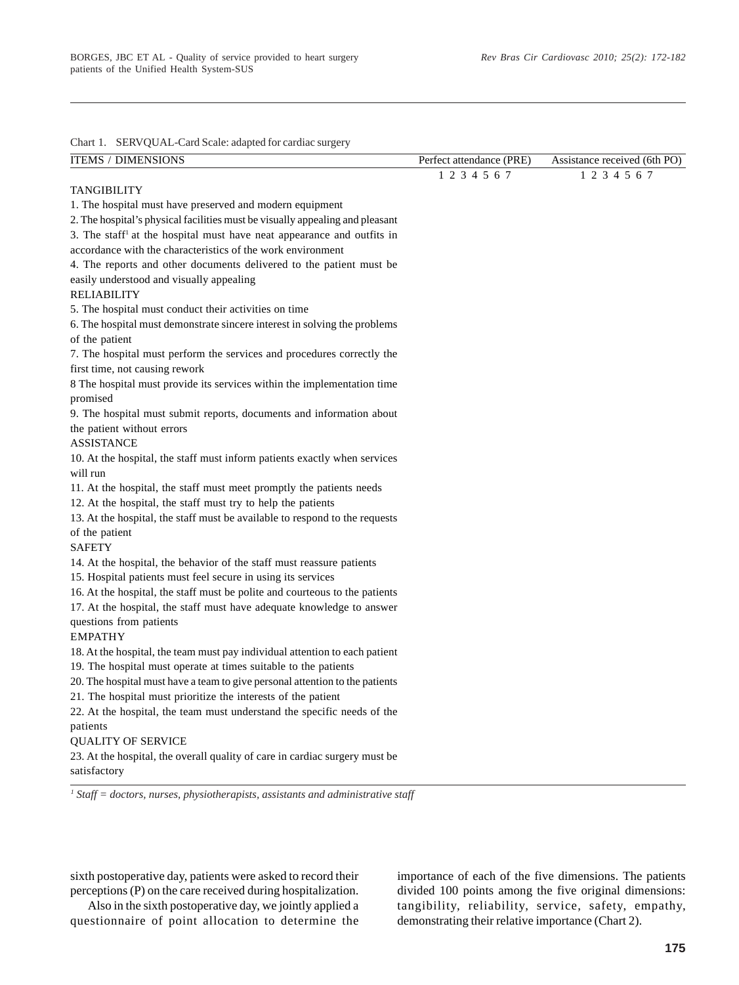## Chart 1. SERVQUAL-Card Scale: adapted for cardiac surgery

| <b>ITEMS / DIMENSIONS</b>                                                          | Perfect attendance (PRE) | Assistance received (6th PO) |
|------------------------------------------------------------------------------------|--------------------------|------------------------------|
|                                                                                    | 1 2 3 4 5 6 7            | 1 2 3 4 5 6 7                |
| TANGIBILITY                                                                        |                          |                              |
| 1. The hospital must have preserved and modern equipment                           |                          |                              |
| 2. The hospital's physical facilities must be visually appealing and pleasant      |                          |                              |
| 3. The staff <sup>1</sup> at the hospital must have neat appearance and outfits in |                          |                              |
| accordance with the characteristics of the work environment                        |                          |                              |
| 4. The reports and other documents delivered to the patient must be                |                          |                              |
| easily understood and visually appealing                                           |                          |                              |
| <b>RELIABILITY</b>                                                                 |                          |                              |
| 5. The hospital must conduct their activities on time                              |                          |                              |
| 6. The hospital must demonstrate sincere interest in solving the problems          |                          |                              |
| of the patient                                                                     |                          |                              |
| 7. The hospital must perform the services and procedures correctly the             |                          |                              |
| first time, not causing rework                                                     |                          |                              |
| 8 The hospital must provide its services within the implementation time            |                          |                              |
| promised                                                                           |                          |                              |
| 9. The hospital must submit reports, documents and information about               |                          |                              |
| the patient without errors                                                         |                          |                              |
| <b>ASSISTANCE</b>                                                                  |                          |                              |
| 10. At the hospital, the staff must inform patients exactly when services          |                          |                              |
| will run                                                                           |                          |                              |
| 11. At the hospital, the staff must meet promptly the patients needs               |                          |                              |
| 12. At the hospital, the staff must try to help the patients                       |                          |                              |
| 13. At the hospital, the staff must be available to respond to the requests        |                          |                              |
| of the patient                                                                     |                          |                              |
| <b>SAFETY</b>                                                                      |                          |                              |
| 14. At the hospital, the behavior of the staff must reassure patients              |                          |                              |
| 15. Hospital patients must feel secure in using its services                       |                          |                              |
| 16. At the hospital, the staff must be polite and courteous to the patients        |                          |                              |
| 17. At the hospital, the staff must have adequate knowledge to answer              |                          |                              |
| questions from patients                                                            |                          |                              |
| <b>EMPATHY</b>                                                                     |                          |                              |
| 18. At the hospital, the team must pay individual attention to each patient        |                          |                              |
| 19. The hospital must operate at times suitable to the patients                    |                          |                              |
| 20. The hospital must have a team to give personal attention to the patients       |                          |                              |
| 21. The hospital must prioritize the interests of the patient                      |                          |                              |
| 22. At the hospital, the team must understand the specific needs of the            |                          |                              |
| patients                                                                           |                          |                              |
| <b>OUALITY OF SERVICE</b>                                                          |                          |                              |
| 23. At the hospital, the overall quality of care in cardiac surgery must be        |                          |                              |
| satisfactory                                                                       |                          |                              |
|                                                                                    |                          |                              |

<sup>1</sup> Staff = doctors, nurses, physiotherapists, assistants and administrative staff

sixth postoperative day, patients were asked to record their perceptions (P) on the care received during hospitalization.

Also in the sixth postoperative day, we jointly applied a questionnaire of point allocation to determine the

importance of each of the five dimensions. The patients divided 100 points among the five original dimensions: tangibility, reliability, service, safety, empathy, demonstrating their relative importance (Chart 2).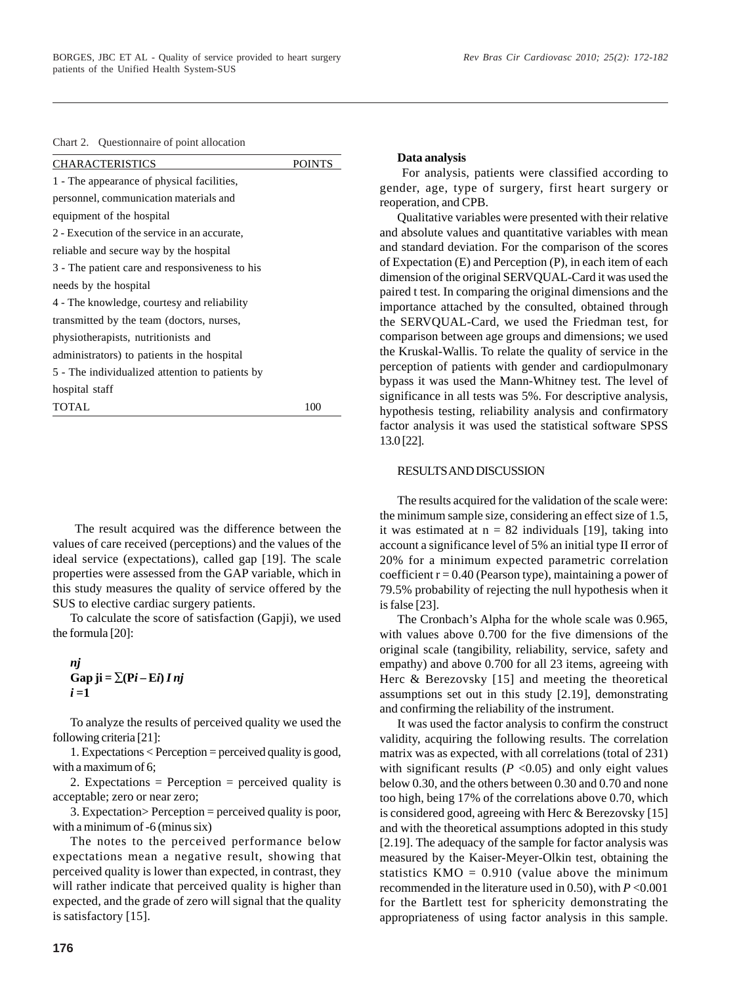| Chart 2. |  |  |  | Questionnaire of point allocation |
|----------|--|--|--|-----------------------------------|
|----------|--|--|--|-----------------------------------|

| <b>CHARACTERISTICS</b>                          | <b>POINTS</b> |
|-------------------------------------------------|---------------|
| 1 - The appearance of physical facilities,      |               |
| personnel, communication materials and          |               |
| equipment of the hospital                       |               |
| 2 - Execution of the service in an accurate,    |               |
| reliable and secure way by the hospital         |               |
| 3 - The patient care and responsiveness to his  |               |
| needs by the hospital                           |               |
| 4 - The knowledge, courtesy and reliability     |               |
| transmitted by the team (doctors, nurses,       |               |
| physiotherapists, nutritionists and             |               |
| administrators) to patients in the hospital     |               |
| 5 - The individualized attention to patients by |               |
| hospital staff                                  |               |
| <b>TOTAL</b>                                    | 100           |

 The result acquired was the difference between the values of care received (perceptions) and the values of the ideal service (expectations), called gap [19]. The scale properties were assessed from the GAP variable, which in this study measures the quality of service offered by the SUS to elective cardiac surgery patients.

To calculate the score of satisfaction (Gapji), we used the formula [20]:

# *nj* **Gap ji =** ∑**(P***i* **– E***i***)** *I nj*  $i = 1$

To analyze the results of perceived quality we used the following criteria [21]:

1. Expectations < Perception = perceived quality is good, with a maximum of 6;

2. Expectations  $=$  Perception  $=$  perceived quality is acceptable; zero or near zero;

3. Expectation> Perception = perceived quality is poor, with a minimum of -6 (minus six)

The notes to the perceived performance below expectations mean a negative result, showing that perceived quality is lower than expected, in contrast, they will rather indicate that perceived quality is higher than expected, and the grade of zero will signal that the quality is satisfactory [15].

#### **Data analysis**

For analysis, patients were classified according to gender, age, type of surgery, first heart surgery or reoperation, and CPB.

Qualitative variables were presented with their relative and absolute values and quantitative variables with mean and standard deviation. For the comparison of the scores of Expectation (E) and Perception (P), in each item of each dimension of the original SERVQUAL-Card it was used the paired t test. In comparing the original dimensions and the importance attached by the consulted, obtained through the SERVQUAL-Card, we used the Friedman test, for comparison between age groups and dimensions; we used the Kruskal-Wallis. To relate the quality of service in the perception of patients with gender and cardiopulmonary bypass it was used the Mann-Whitney test. The level of significance in all tests was 5%. For descriptive analysis, hypothesis testing, reliability analysis and confirmatory factor analysis it was used the statistical software SPSS 13.0 [22].

## RESULTS AND DISCUSSION

The results acquired for the validation of the scale were: the minimum sample size, considering an effect size of 1.5, it was estimated at  $n = 82$  individuals [19], taking into account a significance level of 5% an initial type II error of 20% for a minimum expected parametric correlation coefficient  $r = 0.40$  (Pearson type), maintaining a power of 79.5% probability of rejecting the null hypothesis when it is false [23].

The Cronbach's Alpha for the whole scale was 0.965, with values above 0.700 for the five dimensions of the original scale (tangibility, reliability, service, safety and empathy) and above 0.700 for all 23 items, agreeing with Herc & Berezovsky [15] and meeting the theoretical assumptions set out in this study [2.19], demonstrating and confirming the reliability of the instrument.

It was used the factor analysis to confirm the construct validity, acquiring the following results. The correlation matrix was as expected, with all correlations (total of 231) with significant results ( $P < 0.05$ ) and only eight values below 0.30, and the others between 0.30 and 0.70 and none too high, being 17% of the correlations above 0.70, which is considered good, agreeing with Herc & Berezovsky [15] and with the theoretical assumptions adopted in this study [2.19]. The adequacy of the sample for factor analysis was measured by the Kaiser-Meyer-Olkin test, obtaining the statistics  $KMO = 0.910$  (value above the minimum recommended in the literature used in 0.50), with *P* <0.001 for the Bartlett test for sphericity demonstrating the appropriateness of using factor analysis in this sample.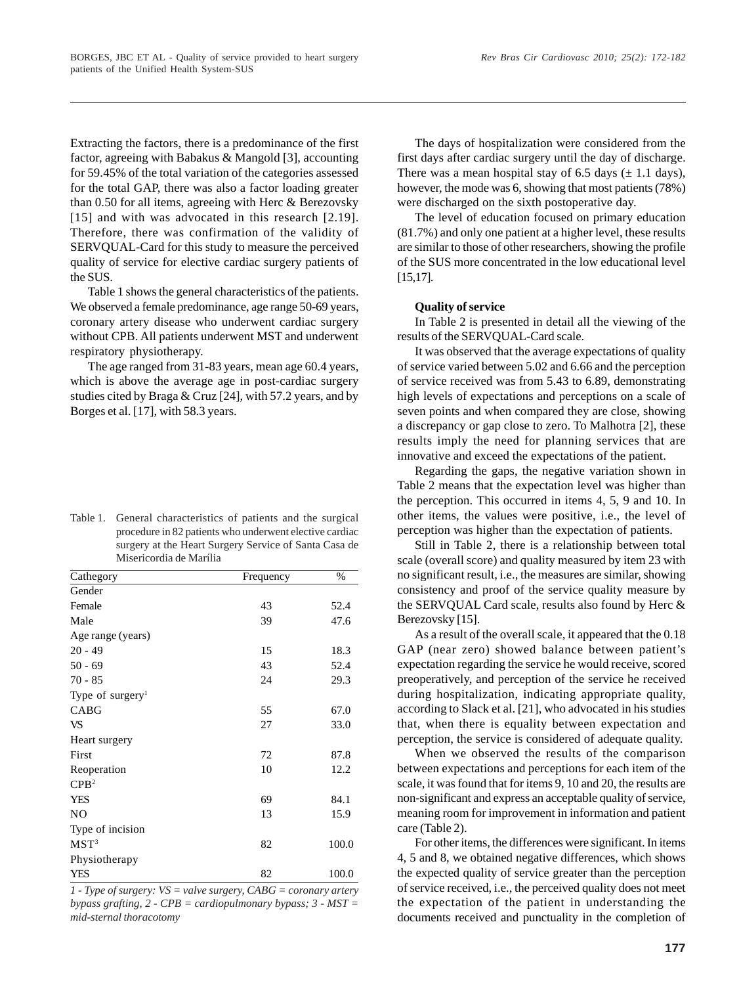Extracting the factors, there is a predominance of the first factor, agreeing with Babakus & Mangold [3], accounting for 59.45% of the total variation of the categories assessed for the total GAP, there was also a factor loading greater than 0.50 for all items, agreeing with Herc & Berezovsky [15] and with was advocated in this research [2.19]. Therefore, there was confirmation of the validity of SERVQUAL-Card for this study to measure the perceived quality of service for elective cardiac surgery patients of the SUS.

Table 1 shows the general characteristics of the patients. We observed a female predominance, age range 50-69 years, coronary artery disease who underwent cardiac surgery without CPB. All patients underwent MST and underwent respiratory physiotherapy.

The age ranged from 31-83 years, mean age 60.4 years, which is above the average age in post-cardiac surgery studies cited by Braga & Cruz [24], with 57.2 years, and by Borges et al. [17], with 58.3 years.

| Table 1. General characteristics of patients and the surgical |
|---------------------------------------------------------------|
| procedure in 82 patients who underwent elective cardiac       |
| surgery at the Heart Surgery Service of Santa Casa de         |
| Misericordia de Marília                                       |
|                                                               |

| Cathegory                    | Frequency | $\%$  |
|------------------------------|-----------|-------|
| Gender                       |           |       |
| Female                       | 43        | 52.4  |
| Male                         | 39        | 47.6  |
| Age range (years)            |           |       |
| $20 - 49$                    | 15        | 18.3  |
| $50 - 69$                    | 43        | 52.4  |
| $70 - 85$                    | 24        | 29.3  |
| Type of surgery <sup>1</sup> |           |       |
| CABG                         | 55        | 67.0  |
| <b>VS</b>                    | 27        | 33.0  |
| Heart surgery                |           |       |
| First                        | 72        | 87.8  |
| Reoperation                  | 10        | 12.2  |
| CPB <sup>2</sup>             |           |       |
| <b>YES</b>                   | 69        | 84.1  |
| N <sub>O</sub>               | 13        | 15.9  |
| Type of incision             |           |       |
| $MST^3$                      | 82        | 100.0 |
| Physiotherapy                |           |       |
| YES                          | 82        | 100.0 |

*1 - Type of surgery: VS = valve surgery, CABG = coronary artery bypass grafting, 2 - CPB = cardiopulmonary bypass; 3 - MST = mid-sternal thoracotomy*

The days of hospitalization were considered from the first days after cardiac surgery until the day of discharge. There was a mean hospital stay of 6.5 days  $(\pm 1.1$  days), however, the mode was 6, showing that most patients (78%) were discharged on the sixth postoperative day.

The level of education focused on primary education (81.7%) and only one patient at a higher level, these results are similar to those of other researchers, showing the profile of the SUS more concentrated in the low educational level [15,17].

## **Quality of service**

In Table 2 is presented in detail all the viewing of the results of the SERVQUAL-Card scale.

It was observed that the average expectations of quality of service varied between 5.02 and 6.66 and the perception of service received was from 5.43 to 6.89, demonstrating high levels of expectations and perceptions on a scale of seven points and when compared they are close, showing a discrepancy or gap close to zero. To Malhotra [2], these results imply the need for planning services that are innovative and exceed the expectations of the patient.

Regarding the gaps, the negative variation shown in Table 2 means that the expectation level was higher than the perception. This occurred in items 4, 5, 9 and 10. In other items, the values were positive, i.e., the level of perception was higher than the expectation of patients.

Still in Table 2, there is a relationship between total scale (overall score) and quality measured by item 23 with no significant result, i.e., the measures are similar, showing consistency and proof of the service quality measure by the SERVQUAL Card scale, results also found by Herc & Berezovsky [15].

As a result of the overall scale, it appeared that the 0.18 GAP (near zero) showed balance between patient's expectation regarding the service he would receive, scored preoperatively, and perception of the service he received during hospitalization, indicating appropriate quality, according to Slack et al. [21], who advocated in his studies that, when there is equality between expectation and perception, the service is considered of adequate quality.

When we observed the results of the comparison between expectations and perceptions for each item of the scale, it was found that for items 9, 10 and 20, the results are non-significant and express an acceptable quality of service, meaning room for improvement in information and patient care (Table 2).

For other items, the differences were significant. In items 4, 5 and 8, we obtained negative differences, which shows the expected quality of service greater than the perception of service received, i.e., the perceived quality does not meet the expectation of the patient in understanding the documents received and punctuality in the completion of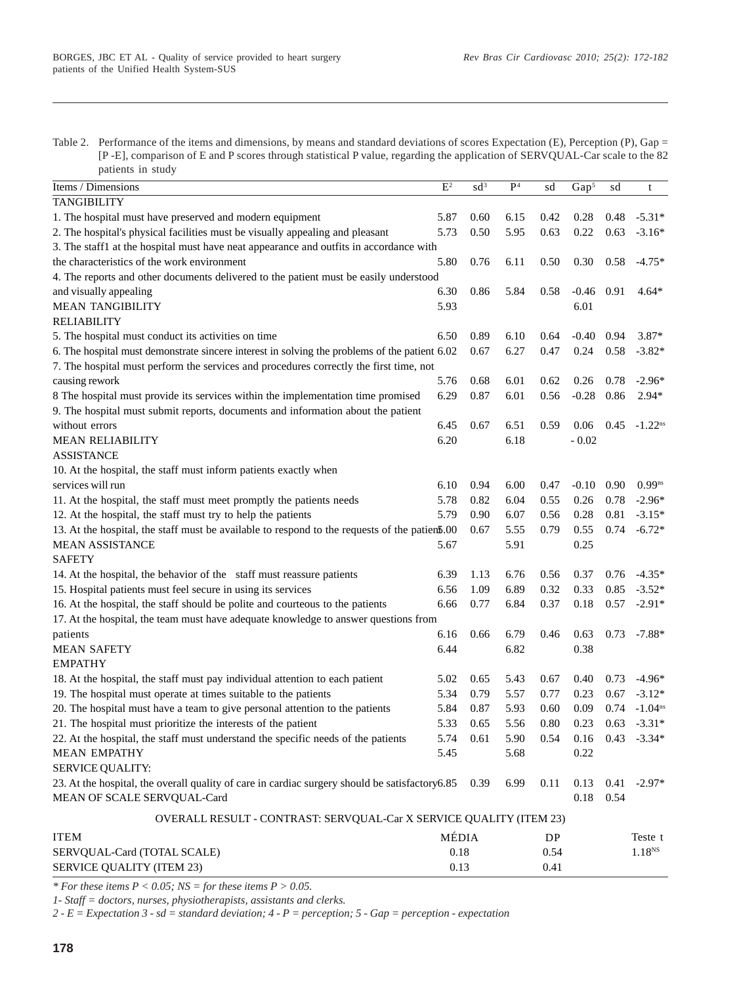Table 2. Performance of the items and dimensions, by means and standard deviations of scores Expectation (E), Perception (P), Gap = [P -E], comparison of E and P scores through statistical P value, regarding the application of SERVQUAL-Car scale to the 82 patients in study

| Items / Dimensions                                                                             | $\mathbf{E}^2$ | $sd^3$ | $\mathbf{P}^4$ | sd   | Gap <sup>5</sup> | sd   | t                           |
|------------------------------------------------------------------------------------------------|----------------|--------|----------------|------|------------------|------|-----------------------------|
| <b>TANGIBILITY</b>                                                                             |                |        |                |      |                  |      |                             |
| 1. The hospital must have preserved and modern equipment                                       | 5.87           | 0.60   | 6.15           | 0.42 | 0.28             | 0.48 | $-5.31*$                    |
| 2. The hospital's physical facilities must be visually appealing and pleasant                  | 5.73           | 0.50   | 5.95           | 0.63 | 0.22             | 0.63 | $-3.16*$                    |
| 3. The staff1 at the hospital must have neat appearance and outfits in accordance with         |                |        |                |      |                  |      |                             |
| the characteristics of the work environment                                                    | 5.80           | 0.76   | 6.11           | 0.50 | 0.30             | 0.58 | $-4.75*$                    |
| 4. The reports and other documents delivered to the patient must be easily understood          |                |        |                |      |                  |      |                             |
| and visually appealing                                                                         | 6.30           | 0.86   | 5.84           | 0.58 | $-0.46$          | 0.91 | $4.64*$                     |
| <b>MEAN TANGIBILITY</b>                                                                        | 5.93           |        |                |      | 6.01             |      |                             |
| <b>RELIABILITY</b>                                                                             |                |        |                |      |                  |      |                             |
| 5. The hospital must conduct its activities on time                                            | 6.50           | 0.89   | 6.10           | 0.64 | $-0.40$          | 0.94 | $3.87*$                     |
| 6. The hospital must demonstrate sincere interest in solving the problems of the patient 6.02  |                | 0.67   | 6.27           | 0.47 | 0.24             | 0.58 | $-3.82*$                    |
| 7. The hospital must perform the services and procedures correctly the first time, not         |                |        |                |      |                  |      |                             |
| causing rework                                                                                 | 5.76           | 0.68   | 6.01           | 0.62 | 0.26             | 0.78 | $-2.96*$                    |
| 8 The hospital must provide its services within the implementation time promised               | 6.29           | 0.87   | 6.01           | 0.56 | $-0.28$          | 0.86 | $2.94*$                     |
| 9. The hospital must submit reports, documents and information about the patient               |                |        |                |      |                  |      |                             |
| without errors                                                                                 | 6.45           | 0.67   | 6.51           | 0.59 | 0.06             |      | $0.45 - 1.22$ <sup>ns</sup> |
| <b>MEAN RELIABILITY</b>                                                                        | 6.20           |        | 6.18           |      | $-0.02$          |      |                             |
| <b>ASSISTANCE</b>                                                                              |                |        |                |      |                  |      |                             |
| 10. At the hospital, the staff must inform patients exactly when                               |                |        |                |      |                  |      |                             |
| services will run                                                                              | 6.10           | 0.94   | 6.00           | 0.47 | $-0.10$          | 0.90 | $0.99^{ns}$                 |
| 11. At the hospital, the staff must meet promptly the patients needs                           | 5.78           | 0.82   | 6.04           | 0.55 | 0.26             | 0.78 | $-2.96*$                    |
| 12. At the hospital, the staff must try to help the patients                                   | 5.79           | 0.90   | 6.07           | 0.56 | 0.28             | 0.81 | $-3.15*$                    |
| 13. At the hospital, the staff must be available to respond to the requests of the patiens.00  |                | 0.67   | 5.55           | 0.79 | 0.55             | 0.74 | $-6.72*$                    |
| <b>MEAN ASSISTANCE</b>                                                                         | 5.67           |        | 5.91           |      | 0.25             |      |                             |
| <b>SAFETY</b>                                                                                  |                |        |                |      |                  |      |                             |
| 14. At the hospital, the behavior of the staff must reassure patients                          | 6.39           | 1.13   | 6.76           | 0.56 | 0.37             | 0.76 | $-4.35*$                    |
| 15. Hospital patients must feel secure in using its services                                   | 6.56           | 1.09   | 6.89           | 0.32 | 0.33             | 0.85 | $-3.52*$                    |
| 16. At the hospital, the staff should be polite and courteous to the patients                  | 6.66           | 0.77   | 6.84           | 0.37 | 0.18             | 0.57 | $-2.91*$                    |
| 17. At the hospital, the team must have adequate knowledge to answer questions from            |                |        |                |      |                  |      |                             |
| patients                                                                                       | 6.16           | 0.66   | 6.79           | 0.46 | 0.63             | 0.73 | $-7.88*$                    |
| <b>MEAN SAFETY</b>                                                                             | 6.44           |        | 6.82           |      | 0.38             |      |                             |
| <b>EMPATHY</b>                                                                                 |                |        |                |      |                  |      |                             |
| 18. At the hospital, the staff must pay individual attention to each patient                   | 5.02           | 0.65   | 5.43           | 0.67 | 0.40             | 0.73 | $-4.96*$                    |
| 19. The hospital must operate at times suitable to the patients                                | 5.34           | 0.79   | 5.57           | 0.77 | 0.23             | 0.67 | $-3.12*$                    |
| 20. The hospital must have a team to give personal attention to the patients                   | 5.84           | 0.87   | 5.93           | 0.60 | 0.09             | 0.74 | $-1.04^{ns}$                |
| 21. The hospital must prioritize the interests of the patient                                  | 5.33           | 0.65   | 5.56           | 0.80 | 0.23             | 0.63 | $-3.31*$                    |
| 22. At the hospital, the staff must understand the specific needs of the patients              | 5.74           | 0.61   | 5.90           | 0.54 |                  |      | $0.16$ $0.43$ $-3.34*$      |
| <b>MEAN EMPATHY</b>                                                                            | 5.45           |        | 5.68           |      | 0.22             |      |                             |
| SERVICE QUALITY:                                                                               |                |        |                |      |                  |      |                             |
| 23. At the hospital, the overall quality of care in cardiac surgery should be satisfactory6.85 |                | 0.39   | 6.99           | 0.11 | 0.13             | 0.41 | $-2.97*$                    |
| MEAN OF SCALE SERVQUAL-Card                                                                    |                |        |                |      | 0.18             | 0.54 |                             |
| OVERALL RESULT - CONTRAST: SERVQUAL-Car X SERVICE QUALITY (ITEM 23)                            |                |        |                |      |                  |      |                             |
| <b>ITEM</b>                                                                                    | MÉDIA          |        |                | DP   |                  |      | Teste t                     |
| SERVQUAL-Card (TOTAL SCALE)                                                                    | 0.18           |        |                | 0.54 |                  |      | 1.18 <sup>NS</sup>          |
| <b>SERVICE QUALITY (ITEM 23)</b>                                                               | 0.13           |        |                | 0.41 |                  |      |                             |

*\* For these items P < 0.05; NS = for these items P > 0.05.*

*1- Staff = doctors, nurses, physiotherapists, assistants and clerks.*

*2 - E = Expectation 3 - sd = standard deviation; 4 - P = perception; 5 - Gap = perception - expectation*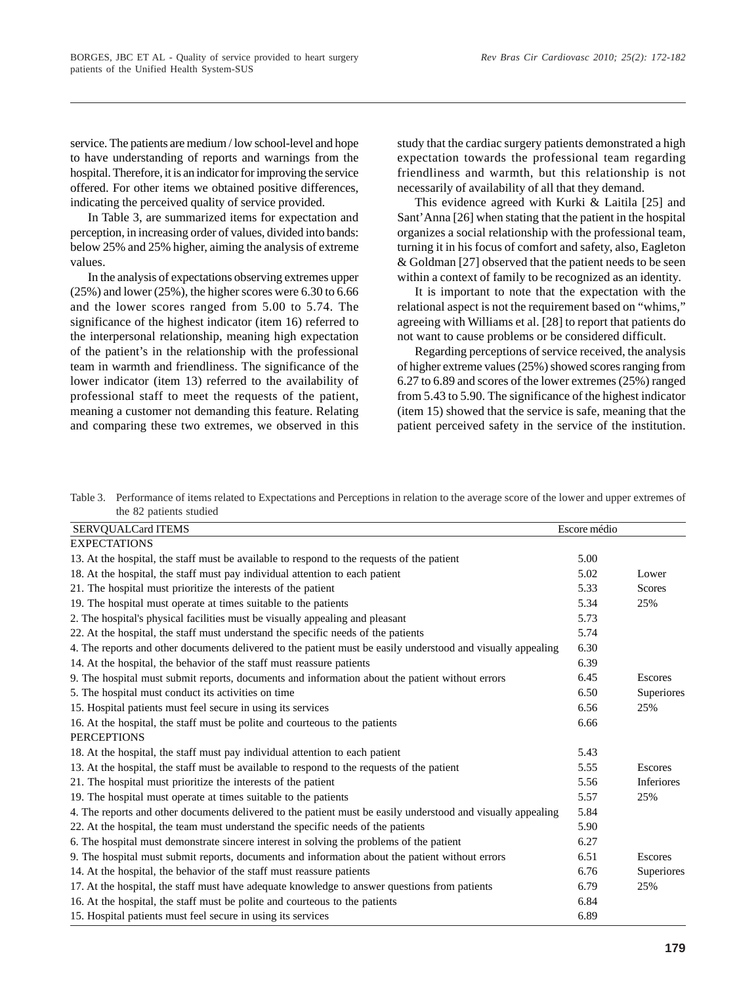service. The patients are medium / low school-level and hope to have understanding of reports and warnings from the hospital. Therefore, it is an indicator for improving the service offered. For other items we obtained positive differences, indicating the perceived quality of service provided.

In Table 3, are summarized items for expectation and perception, in increasing order of values, divided into bands: below 25% and 25% higher, aiming the analysis of extreme values.

In the analysis of expectations observing extremes upper (25%) and lower (25%), the higher scores were 6.30 to 6.66 and the lower scores ranged from 5.00 to 5.74. The significance of the highest indicator (item 16) referred to the interpersonal relationship, meaning high expectation of the patient's in the relationship with the professional team in warmth and friendliness. The significance of the lower indicator (item 13) referred to the availability of professional staff to meet the requests of the patient, meaning a customer not demanding this feature. Relating and comparing these two extremes, we observed in this

study that the cardiac surgery patients demonstrated a high expectation towards the professional team regarding friendliness and warmth, but this relationship is not necessarily of availability of all that they demand.

This evidence agreed with Kurki & Laitila [25] and Sant'Anna [26] when stating that the patient in the hospital organizes a social relationship with the professional team, turning it in his focus of comfort and safety, also, Eagleton & Goldman [27] observed that the patient needs to be seen within a context of family to be recognized as an identity.

It is important to note that the expectation with the relational aspect is not the requirement based on "whims," agreeing with Williams et al. [28] to report that patients do not want to cause problems or be considered difficult.

Regarding perceptions of service received, the analysis of higher extreme values (25%) showed scores ranging from 6.27 to 6.89 and scores of the lower extremes (25%) ranged from 5.43 to 5.90. The significance of the highest indicator (item 15) showed that the service is safe, meaning that the patient perceived safety in the service of the institution.

Table 3. Performance of items related to Expectations and Perceptions in relation to the average score of the lower and upper extremes of the 82 patients studied

| SERVQUALCard ITEMS                                                                                           | Escore médio |                   |
|--------------------------------------------------------------------------------------------------------------|--------------|-------------------|
| <b>EXPECTATIONS</b>                                                                                          |              |                   |
| 13. At the hospital, the staff must be available to respond to the requests of the patient                   | 5.00         |                   |
| 18. At the hospital, the staff must pay individual attention to each patient                                 | 5.02         | Lower             |
| 21. The hospital must prioritize the interests of the patient                                                | 5.33         | <b>Scores</b>     |
| 19. The hospital must operate at times suitable to the patients                                              | 5.34         | 25%               |
| 2. The hospital's physical facilities must be visually appealing and pleasant                                | 5.73         |                   |
| 22. At the hospital, the staff must understand the specific needs of the patients                            | 5.74         |                   |
| 4. The reports and other documents delivered to the patient must be easily understood and visually appealing | 6.30         |                   |
| 14. At the hospital, the behavior of the staff must reassure patients                                        | 6.39         |                   |
| 9. The hospital must submit reports, documents and information about the patient without errors              | 6.45         | Escores           |
| 5. The hospital must conduct its activities on time                                                          | 6.50         | Superiores        |
| 15. Hospital patients must feel secure in using its services                                                 | 6.56         | 25%               |
| 16. At the hospital, the staff must be polite and courteous to the patients                                  | 6.66         |                   |
| <b>PERCEPTIONS</b>                                                                                           |              |                   |
| 18. At the hospital, the staff must pay individual attention to each patient                                 | 5.43         |                   |
| 13. At the hospital, the staff must be available to respond to the requests of the patient                   | 5.55         | Escores           |
| 21. The hospital must prioritize the interests of the patient                                                | 5.56         | <b>Inferiores</b> |
| 19. The hospital must operate at times suitable to the patients                                              | 5.57         | 25%               |
| 4. The reports and other documents delivered to the patient must be easily understood and visually appealing | 5.84         |                   |
| 22. At the hospital, the team must understand the specific needs of the patients                             | 5.90         |                   |
| 6. The hospital must demonstrate sincere interest in solving the problems of the patient                     | 6.27         |                   |
| 9. The hospital must submit reports, documents and information about the patient without errors              | 6.51         | Escores           |
| 14. At the hospital, the behavior of the staff must reassure patients                                        | 6.76         | Superiores        |
| 17. At the hospital, the staff must have adequate knowledge to answer questions from patients                | 6.79         | 25%               |
| 16. At the hospital, the staff must be polite and courteous to the patients                                  | 6.84         |                   |
| 15. Hospital patients must feel secure in using its services                                                 | 6.89         |                   |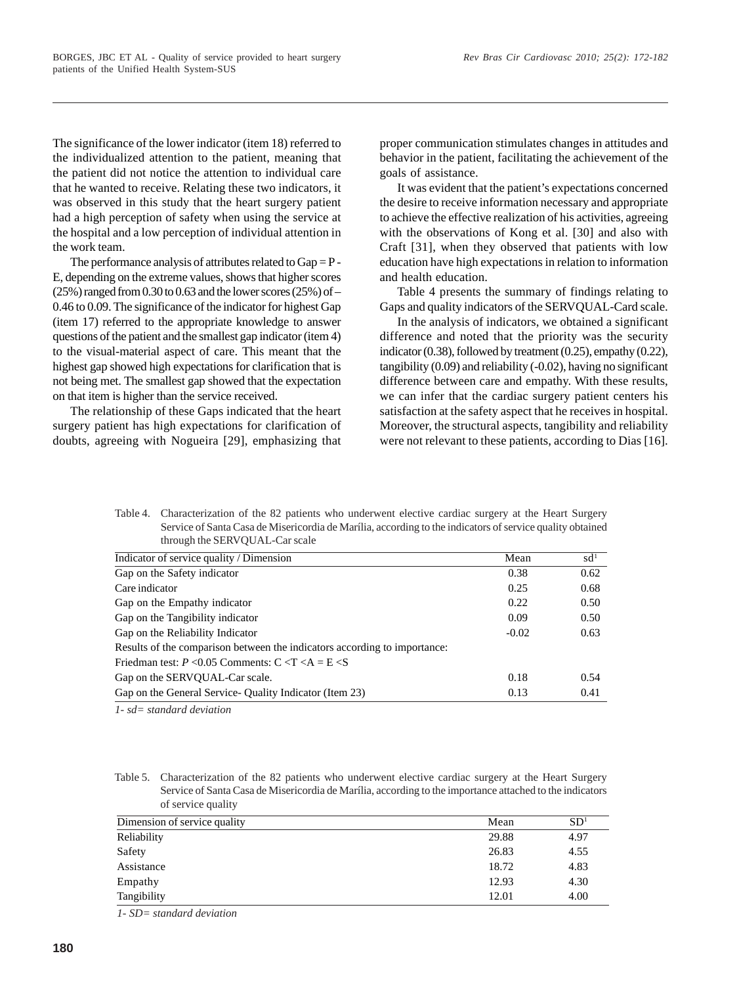The significance of the lower indicator (item 18) referred to the individualized attention to the patient, meaning that the patient did not notice the attention to individual care that he wanted to receive. Relating these two indicators, it was observed in this study that the heart surgery patient had a high perception of safety when using the service at the hospital and a low perception of individual attention in the work team.

The performance analysis of attributes related to  $Gap = P -$ E, depending on the extreme values, shows that higher scores  $(25\%)$  ranged from 0.30 to 0.63 and the lower scores  $(25\%)$  of – 0.46 to 0.09. The significance of the indicator for highest Gap (item 17) referred to the appropriate knowledge to answer questions of the patient and the smallest gap indicator (item 4) to the visual-material aspect of care. This meant that the highest gap showed high expectations for clarification that is not being met. The smallest gap showed that the expectation on that item is higher than the service received.

The relationship of these Gaps indicated that the heart surgery patient has high expectations for clarification of doubts, agreeing with Nogueira [29], emphasizing that

proper communication stimulates changes in attitudes and behavior in the patient, facilitating the achievement of the goals of assistance.

It was evident that the patient's expectations concerned the desire to receive information necessary and appropriate to achieve the effective realization of his activities, agreeing with the observations of Kong et al. [30] and also with Craft [31], when they observed that patients with low education have high expectations in relation to information and health education.

Table 4 presents the summary of findings relating to Gaps and quality indicators of the SERVQUAL-Card scale.

In the analysis of indicators, we obtained a significant difference and noted that the priority was the security indicator (0.38), followed by treatment (0.25), empathy (0.22), tangibility (0.09) and reliability (-0.02), having no significant difference between care and empathy. With these results, we can infer that the cardiac surgery patient centers his satisfaction at the safety aspect that he receives in hospital. Moreover, the structural aspects, tangibility and reliability were not relevant to these patients, according to Dias [16].

Table 4. Characterization of the 82 patients who underwent elective cardiac surgery at the Heart Surgery Service of Santa Casa de Misericordia de Marília, according to the indicators of service quality obtained through the SERVQUAL-Car scale

| Indicator of service quality / Dimension                                  | Mean    | sd <sup>1</sup> |
|---------------------------------------------------------------------------|---------|-----------------|
| Gap on the Safety indicator                                               | 0.38    | 0.62            |
| Care indicator                                                            | 0.25    | 0.68            |
| Gap on the Empathy indicator                                              | 0.22    | 0.50            |
| Gap on the Tangibility indicator                                          | 0.09    | 0.50            |
| Gap on the Reliability Indicator                                          | $-0.02$ | 0.63            |
| Results of the comparison between the indicators according to importance: |         |                 |
| Friedman test: $P < 0.05$ Comments: $C < T < A = E < S$                   |         |                 |
| Gap on the SERVQUAL-Car scale.                                            | 0.18    | 0.54            |
| Gap on the General Service - Quality Indicator (Item 23)                  | 0.13    | 0.41            |

*1- sd= standard deviation*

Table 5. Characterization of the 82 patients who underwent elective cardiac surgery at the Heart Surgery Service of Santa Casa de Misericordia de Marília, according to the importance attached to the indicators of service quality

| Dimension of service quality | Mean  | SD <sup>1</sup> |
|------------------------------|-------|-----------------|
| Reliability                  | 29.88 | 4.97            |
| Safety                       | 26.83 | 4.55            |
| Assistance                   | 18.72 | 4.83            |
| Empathy                      | 12.93 | 4.30            |
| Tangibility                  | 12.01 | 4.00            |

*1- SD= standard deviation*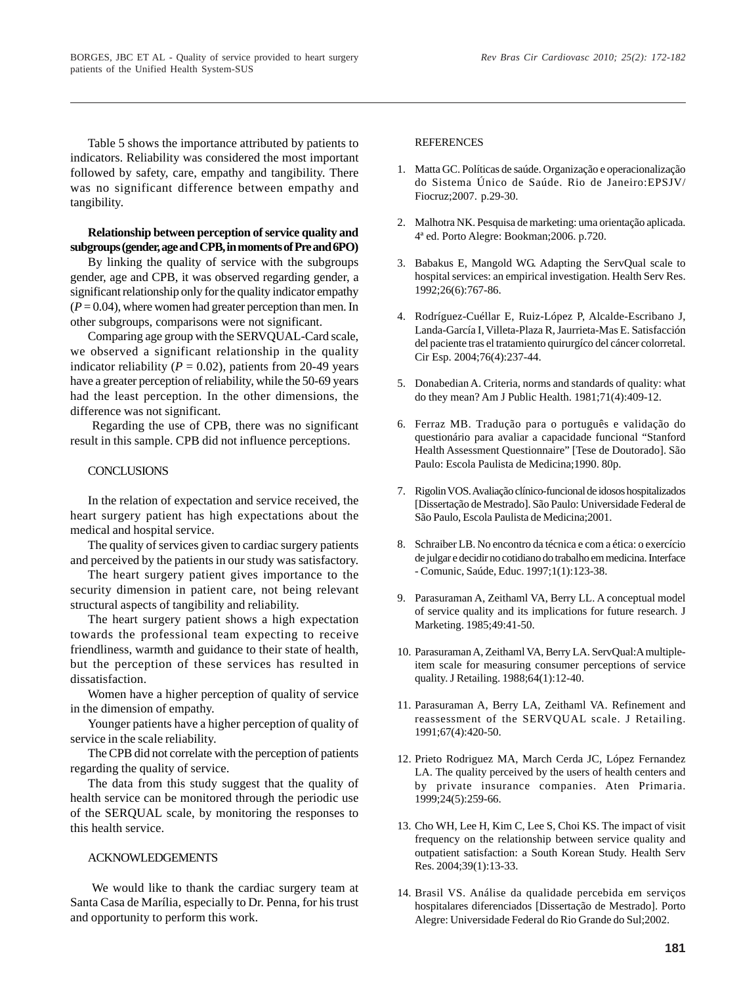Table 5 shows the importance attributed by patients to indicators. Reliability was considered the most important followed by safety, care, empathy and tangibility. There was no significant difference between empathy and tangibility.

# **Relationship between perception of service quality and subgroups (gender, age and CPB, in moments of Pre and 6PO)**

By linking the quality of service with the subgroups gender, age and CPB, it was observed regarding gender, a significant relationship only for the quality indicator empathy  $(P = 0.04)$ , where women had greater perception than men. In other subgroups, comparisons were not significant.

Comparing age group with the SERVQUAL-Card scale, we observed a significant relationship in the quality indicator reliability ( $P = 0.02$ ), patients from 20-49 years have a greater perception of reliability, while the 50-69 years had the least perception. In the other dimensions, the difference was not significant.

 Regarding the use of CPB, there was no significant result in this sample. CPB did not influence perceptions.

# **CONCLUSIONS**

In the relation of expectation and service received, the heart surgery patient has high expectations about the medical and hospital service.

The quality of services given to cardiac surgery patients and perceived by the patients in our study was satisfactory.

The heart surgery patient gives importance to the security dimension in patient care, not being relevant structural aspects of tangibility and reliability.

The heart surgery patient shows a high expectation towards the professional team expecting to receive friendliness, warmth and guidance to their state of health, but the perception of these services has resulted in dissatisfaction.

Women have a higher perception of quality of service in the dimension of empathy.

Younger patients have a higher perception of quality of service in the scale reliability.

The CPB did not correlate with the perception of patients regarding the quality of service.

The data from this study suggest that the quality of health service can be monitored through the periodic use of the SERQUAL scale, by monitoring the responses to this health service.

## ACKNOWLEDGEMENTS

 We would like to thank the cardiac surgery team at Santa Casa de Marília, especially to Dr. Penna, for his trust and opportunity to perform this work.

## **REFERENCES**

- 1. Matta GC. Políticas de saúde. Organização e operacionalização do Sistema Único de Saúde. Rio de Janeiro:EPSJV/ Fiocruz;2007. p.29-30.
- 2. Malhotra NK. Pesquisa de marketing: uma orientação aplicada. 4ª ed. Porto Alegre: Bookman;2006. p.720.
- 3. Babakus E, Mangold WG. Adapting the ServQual scale to hospital services: an empirical investigation. Health Serv Res. 1992;26(6):767-86.
- 4. Rodríguez-Cuéllar E, Ruiz-López P, Alcalde-Escribano J, Landa-García I, Villeta-Plaza R, Jaurrieta-Mas E. Satisfacción del paciente tras el tratamiento quirurgíco del cáncer colorretal. Cir Esp. 2004;76(4):237-44.
- 5. Donabedian A. Criteria, norms and standards of quality: what do they mean? Am J Public Health. 1981;71(4):409-12.
- 6. Ferraz MB. Tradução para o português e validação do questionário para avaliar a capacidade funcional "Stanford Health Assessment Questionnaire" [Tese de Doutorado]. São Paulo: Escola Paulista de Medicina;1990. 80p.
- 7. Rigolin VOS. Avaliação clínico-funcional de idosos hospitalizados [Dissertação de Mestrado]. São Paulo: Universidade Federal de São Paulo, Escola Paulista de Medicina;2001.
- 8. Schraiber LB. No encontro da técnica e com a ética: o exercício de julgar e decidir no cotidiano do trabalho em medicina. Interface - Comunic, Saúde, Educ. 1997;1(1):123-38.
- 9. Parasuraman A, Zeithaml VA, Berry LL. A conceptual model of service quality and its implications for future research. J Marketing. 1985;49:41-50.
- 10. Parasuraman A, Zeithaml VA, Berry LA. ServQual:A multipleitem scale for measuring consumer perceptions of service quality. J Retailing. 1988;64(1):12-40.
- 11. Parasuraman A, Berry LA, Zeithaml VA. Refinement and reassessment of the SERVQUAL scale. J Retailing. 1991;67(4):420-50.
- 12. Prieto Rodriguez MA, March Cerda JC, López Fernandez LA. The quality perceived by the users of health centers and by private insurance companies. Aten Primaria. 1999;24(5):259-66.
- 13. Cho WH, Lee H, Kim C, Lee S, Choi KS. The impact of visit frequency on the relationship between service quality and outpatient satisfaction: a South Korean Study. Health Serv Res. 2004;39(1):13-33.
- 14. Brasil VS. Análise da qualidade percebida em serviços hospitalares diferenciados [Dissertação de Mestrado]. Porto Alegre: Universidade Federal do Rio Grande do Sul;2002.